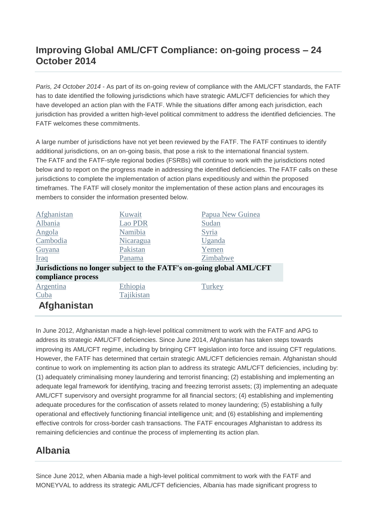#### **Improving Global AML/CFT Compliance: on-going process – 24 October 2014**

*Paris, 24 October 2014* - As part of its on-going review of compliance with the AML/CFT standards, the FATF has to date identified the following jurisdictions which have strategic AML/CFT deficiencies for which they have developed an action plan with the FATF. While the situations differ among each jurisdiction, each jurisdiction has provided a written high-level political commitment to address the identified deficiencies. The FATF welcomes these commitments.

A large number of jurisdictions have not yet been reviewed by the FATF. The FATF continues to identify additional jurisdictions, on an on-going basis, that pose a risk to the international financial system. The FATF and the FATF-style regional bodies (FSRBs) will continue to work with the jurisdictions noted below and to report on the progress made in addressing the identified deficiencies. The FATF calls on these jurisdictions to complete the implementation of action plans expeditiously and within the proposed timeframes. The FATF will closely monitor the implementation of these action plans and encourages its members to consider the information presented below.

| Afghanistan                                                           | Kuwait     | Papua New Guinea |
|-----------------------------------------------------------------------|------------|------------------|
| Albania                                                               | Lao PDR    | Sudan            |
| Angola                                                                | Namibia    | Syria            |
| Cambodia                                                              | Nicaragua  | Uganda           |
| Guyana                                                                | Pakistan   | Yemen            |
| Iraq                                                                  | Panama     | Zimbabwe         |
| Jurisdictions no longer subject to the FATF's on-going global AML/CFT |            |                  |
| compliance process                                                    |            |                  |
| Argentina                                                             | Ethiopia   | Turkey           |
| Cuba                                                                  | Tajikistan |                  |
| Afghanistan                                                           |            |                  |

In June 2012, Afghanistan made a high-level political commitment to work with the FATF and APG to address its strategic AML/CFT deficiencies. Since June 2014, Afghanistan has taken steps towards improving its AML/CFT regime, including by bringing CFT legislation into force and issuing CFT regulations. However, the FATF has determined that certain strategic AML/CFT deficiencies remain. Afghanistan should continue to work on implementing its action plan to address its strategic AML/CFT deficiencies, including by: (1) adequately criminalising money laundering and terrorist financing; (2) establishing and implementing an adequate legal framework for identifying, tracing and freezing terrorist assets; (3) implementing an adequate AML/CFT supervisory and oversight programme for all financial sectors; (4) establishing and implementing adequate procedures for the confiscation of assets related to money laundering; (5) establishing a fully operational and effectively functioning financial intelligence unit; and (6) establishing and implementing effective controls for cross-border cash transactions. The FATF encourages Afghanistan to address its remaining deficiencies and continue the process of implementing its action plan.

#### **Albania**

Since June 2012, when Albania made a high-level political commitment to work with the FATF and MONEYVAL to address its strategic AML/CFT deficiencies, Albania has made significant progress to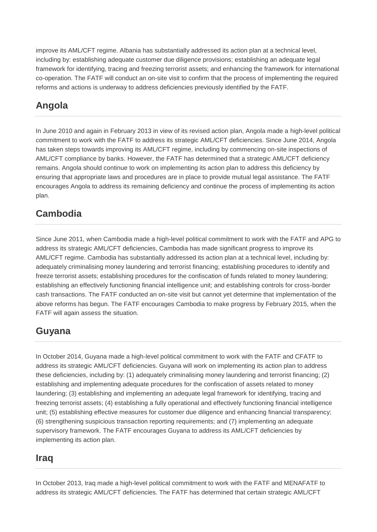improve its AML/CFT regime. Albania has substantially addressed its action plan at a technical level, including by: establishing adequate customer due diligence provisions; establishing an adequate legal framework for identifying, tracing and freezing terrorist assets; and enhancing the framework for international co-operation. The FATF will conduct an on-site visit to confirm that the process of implementing the required reforms and actions is underway to address deficiencies previously identified by the FATF.

#### **Angola**

In June 2010 and again in February 2013 in view of its revised action plan, Angola made a high-level political commitment to work with the FATF to address its strategic AML/CFT deficiencies. Since June 2014, Angola has taken steps towards improving its AML/CFT regime, including by commencing on-site inspections of AML/CFT compliance by banks. However, the FATF has determined that a strategic AML/CFT deficiency remains. Angola should continue to work on implementing its action plan to address this deficiency by ensuring that appropriate laws and procedures are in place to provide mutual legal assistance. The FATF encourages Angola to address its remaining deficiency and continue the process of implementing its action plan.

#### **Cambodia**

Since June 2011, when Cambodia made a high-level political commitment to work with the FATF and APG to address its strategic AML/CFT deficiencies, Cambodia has made significant progress to improve its AML/CFT regime. Cambodia has substantially addressed its action plan at a technical level, including by: adequately criminalising money laundering and terrorist financing; establishing procedures to identify and freeze terrorist assets; establishing procedures for the confiscation of funds related to money laundering; establishing an effectively functioning financial intelligence unit; and establishing controls for cross-border cash transactions. The FATF conducted an on-site visit but cannot yet determine that implementation of the above reforms has begun. The FATF encourages Cambodia to make progress by February 2015, when the FATF will again assess the situation.

#### **Guyana**

In October 2014, Guyana made a high-level political commitment to work with the FATF and CFATF to address its strategic AML/CFT deficiencies. Guyana will work on implementing its action plan to address these deficiencies, including by: (1) adequately criminalising money laundering and terrorist financing; (2) establishing and implementing adequate procedures for the confiscation of assets related to money laundering; (3) establishing and implementing an adequate legal framework for identifying, tracing and freezing terrorist assets; (4) establishing a fully operational and effectively functioning financial intelligence unit; (5) establishing effective measures for customer due diligence and enhancing financial transparency; (6) strengthening suspicious transaction reporting requirements; and (7) implementing an adequate supervisory framework. The FATF encourages Guyana to address its AML/CFT deficiencies by implementing its action plan.

#### **Iraq**

In October 2013, Iraq made a high-level political commitment to work with the FATF and MENAFATF to address its strategic AML/CFT deficiencies. The FATF has determined that certain strategic AML/CFT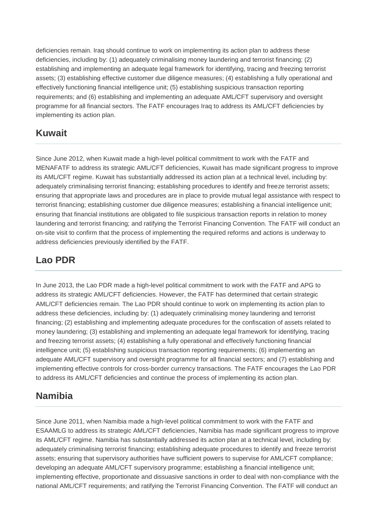deficiencies remain. Iraq should continue to work on implementing its action plan to address these deficiencies, including by: (1) adequately criminalising money laundering and terrorist financing; (2) establishing and implementing an adequate legal framework for identifying, tracing and freezing terrorist assets; (3) establishing effective customer due diligence measures; (4) establishing a fully operational and effectively functioning financial intelligence unit; (5) establishing suspicious transaction reporting requirements; and (6) establishing and implementing an adequate AML/CFT supervisory and oversight programme for all financial sectors. The FATF encourages Iraq to address its AML/CFT deficiencies by implementing its action plan.

#### **Kuwait**

Since June 2012, when Kuwait made a high-level political commitment to work with the FATF and MENAFATF to address its strategic AML/CFT deficiencies, Kuwait has made significant progress to improve its AML/CFT regime. Kuwait has substantially addressed its action plan at a technical level, including by: adequately criminalising terrorist financing; establishing procedures to identify and freeze terrorist assets; ensuring that appropriate laws and procedures are in place to provide mutual legal assistance with respect to terrorist financing; establishing customer due diligence measures; establishing a financial intelligence unit; ensuring that financial institutions are obligated to file suspicious transaction reports in relation to money laundering and terrorist financing; and ratifying the Terrorist Financing Convention. The FATF will conduct an on-site visit to confirm that the process of implementing the required reforms and actions is underway to address deficiencies previously identified by the FATF.

#### **Lao PDR**

In June 2013, the Lao PDR made a high-level political commitment to work with the FATF and APG to address its strategic AML/CFT deficiencies. However, the FATF has determined that certain strategic AML/CFT deficiencies remain. The Lao PDR should continue to work on implementing its action plan to address these deficiencies, including by: (1) adequately criminalising money laundering and terrorist financing; (2) establishing and implementing adequate procedures for the confiscation of assets related to money laundering; (3) establishing and implementing an adequate legal framework for identifying, tracing and freezing terrorist assets; (4) establishing a fully operational and effectively functioning financial intelligence unit; (5) establishing suspicious transaction reporting requirements; (6) implementing an adequate AML/CFT supervisory and oversight programme for all financial sectors; and (7) establishing and implementing effective controls for cross-border currency transactions. The FATF encourages the Lao PDR to address its AML/CFT deficiencies and continue the process of implementing its action plan.

#### **Namibia**

Since June 2011, when Namibia made a high-level political commitment to work with the FATF and ESAAMLG to address its strategic AML/CFT deficiencies, Namibia has made significant progress to improve its AML/CFT regime. Namibia has substantially addressed its action plan at a technical level, including by: adequately criminalising terrorist financing; establishing adequate procedures to identify and freeze terrorist assets; ensuring that supervisory authorities have sufficient powers to supervise for AML/CFT compliance; developing an adequate AML/CFT supervisory programme; establishing a financial intelligence unit; implementing effective, proportionate and dissuasive sanctions in order to deal with non-compliance with the national AML/CFT requirements; and ratifying the Terrorist Financing Convention. The FATF will conduct an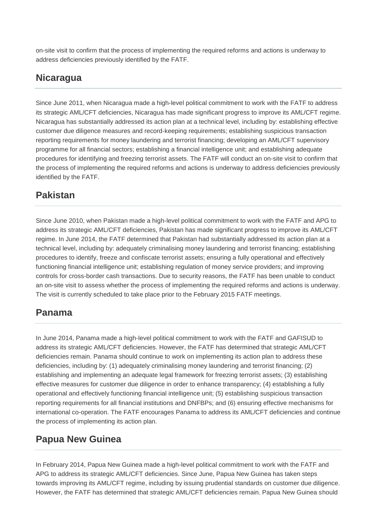on-site visit to confirm that the process of implementing the required reforms and actions is underway to address deficiencies previously identified by the FATF.

#### **Nicaragua**

Since June 2011, when Nicaragua made a high-level political commitment to work with the FATF to address its strategic AML/CFT deficiencies, Nicaragua has made significant progress to improve its AML/CFT regime. Nicaragua has substantially addressed its action plan at a technical level, including by: establishing effective customer due diligence measures and record-keeping requirements; establishing suspicious transaction reporting requirements for money laundering and terrorist financing; developing an AML/CFT supervisory programme for all financial sectors; establishing a financial intelligence unit; and establishing adequate procedures for identifying and freezing terrorist assets. The FATF will conduct an on-site visit to confirm that the process of implementing the required reforms and actions is underway to address deficiencies previously identified by the FATF.

#### **Pakistan**

Since June 2010, when Pakistan made a high-level political commitment to work with the FATF and APG to address its strategic AML/CFT deficiencies, Pakistan has made significant progress to improve its AML/CFT regime. In June 2014, the FATF determined that Pakistan had substantially addressed its action plan at a technical level, including by: adequately criminalising money laundering and terrorist financing; establishing procedures to identify, freeze and confiscate terrorist assets; ensuring a fully operational and effectively functioning financial intelligence unit; establishing regulation of money service providers; and improving controls for cross-border cash transactions. Due to security reasons, the FATF has been unable to conduct an on-site visit to assess whether the process of implementing the required reforms and actions is underway. The visit is currently scheduled to take place prior to the February 2015 FATF meetings.

#### **Panama**

In June 2014, Panama made a high-level political commitment to work with the FATF and GAFISUD to address its strategic AML/CFT deficiencies. However, the FATF has determined that strategic AML/CFT deficiencies remain. Panama should continue to work on implementing its action plan to address these deficiencies, including by: (1) adequately criminalising money laundering and terrorist financing; (2) establishing and implementing an adequate legal framework for freezing terrorist assets; (3) establishing effective measures for customer due diligence in order to enhance transparency; (4) establishing a fully operational and effectively functioning financial intelligence unit; (5) establishing suspicious transaction reporting requirements for all financial institutions and DNFBPs; and (6) ensuring effective mechanisms for international co-operation. The FATF encourages Panama to address its AML/CFT deficiencies and continue the process of implementing its action plan.

#### **Papua New Guinea**

In February 2014, Papua New Guinea made a high-level political commitment to work with the FATF and APG to address its strategic AML/CFT deficiencies. Since June, Papua New Guinea has taken steps towards improving its AML/CFT regime, including by issuing prudential standards on customer due diligence. However, the FATF has determined that strategic AML/CFT deficiencies remain. Papua New Guinea should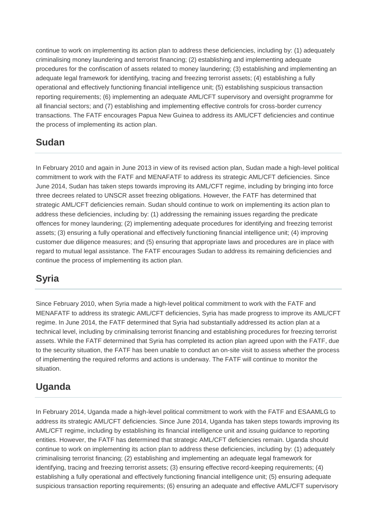continue to work on implementing its action plan to address these deficiencies, including by: (1) adequately criminalising money laundering and terrorist financing; (2) establishing and implementing adequate procedures for the confiscation of assets related to money laundering; (3) establishing and implementing an adequate legal framework for identifying, tracing and freezing terrorist assets; (4) establishing a fully operational and effectively functioning financial intelligence unit; (5) establishing suspicious transaction reporting requirements; (6) implementing an adequate AML/CFT supervisory and oversight programme for all financial sectors; and (7) establishing and implementing effective controls for cross-border currency transactions. The FATF encourages Papua New Guinea to address its AML/CFT deficiencies and continue the process of implementing its action plan.

#### **Sudan**

In February 2010 and again in June 2013 in view of its revised action plan, Sudan made a high-level political commitment to work with the FATF and MENAFATF to address its strategic AML/CFT deficiencies. Since June 2014, Sudan has taken steps towards improving its AML/CFT regime, including by bringing into force three decrees related to UNSCR asset freezing obligations. However, the FATF has determined that strategic AML/CFT deficiencies remain. Sudan should continue to work on implementing its action plan to address these deficiencies, including by: (1) addressing the remaining issues regarding the predicate offences for money laundering; (2) implementing adequate procedures for identifying and freezing terrorist assets; (3) ensuring a fully operational and effectively functioning financial intelligence unit; (4) improving customer due diligence measures; and (5) ensuring that appropriate laws and procedures are in place with regard to mutual legal assistance. The FATF encourages Sudan to address its remaining deficiencies and continue the process of implementing its action plan.

### **Syria**

Since February 2010, when Syria made a high-level political commitment to work with the FATF and MENAFATF to address its strategic AML/CFT deficiencies, Syria has made progress to improve its AML/CFT regime. In June 2014, the FATF determined that Syria had substantially addressed its action plan at a technical level, including by criminalising terrorist financing and establishing procedures for freezing terrorist assets. While the FATF determined that Syria has completed its action plan agreed upon with the FATF, due to the security situation, the FATF has been unable to conduct an on-site visit to assess whether the process of implementing the required reforms and actions is underway. The FATF will continue to monitor the situation.

### **Uganda**

In February 2014, Uganda made a high-level political commitment to work with the FATF and ESAAMLG to address its strategic AML/CFT deficiencies. Since June 2014, Uganda has taken steps towards improving its AML/CFT regime, including by establishing its financial intelligence unit and issuing guidance to reporting entities. However, the FATF has determined that strategic AML/CFT deficiencies remain. Uganda should continue to work on implementing its action plan to address these deficiencies, including by: (1) adequately criminalising terrorist financing; (2) establishing and implementing an adequate legal framework for identifying, tracing and freezing terrorist assets; (3) ensuring effective record-keeping requirements; (4) establishing a fully operational and effectively functioning financial intelligence unit; (5) ensuring adequate suspicious transaction reporting requirements; (6) ensuring an adequate and effective AML/CFT supervisory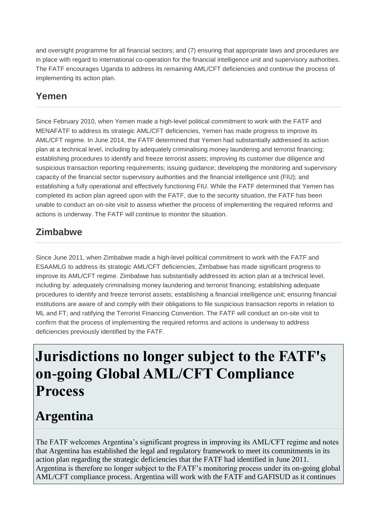and oversight programme for all financial sectors; and (7) ensuring that appropriate laws and procedures are in place with regard to international co-operation for the financial intelligence unit and supervisory authorities. The FATF encourages Uganda to address its remaining AML/CFT deficiencies and continue the process of implementing its action plan.

### **Yemen**

Since February 2010, when Yemen made a high-level political commitment to work with the FATF and MENAFATF to address its strategic AML/CFT deficiencies, Yemen has made progress to improve its AML/CFT regime. In June 2014, the FATF determined that Yemen had substantially addressed its action plan at a technical level, including by adequately criminalising money laundering and terrorist financing; establishing procedures to identify and freeze terrorist assets; improving its customer due diligence and suspicious transaction reporting requirements; issuing guidance; developing the monitoring and supervisory capacity of the financial sector supervisory authorities and the financial intelligence unit (FIU); and establishing a fully operational and effectively functioning FIU. While the FATF determined that Yemen has completed its action plan agreed upon with the FATF, due to the security situation, the FATF has been unable to conduct an on-site visit to assess whether the process of implementing the required reforms and actions is underway. The FATF will continue to monitor the situation.

### **Zimbabwe**

Since June 2011, when Zimbabwe made a high-level political commitment to work with the FATF and ESAAMLG to address its strategic AML/CFT deficiencies, Zimbabwe has made significant progress to improve its AML/CFT regime. Zimbabwe has substantially addressed its action plan at a technical level, including by: adequately criminalising money laundering and terrorist financing; establishing adequate procedures to identify and freeze terrorist assets; establishing a financial intelligence unit; ensuring financial institutions are aware of and comply with their obligations to file suspicious transaction reports in relation to ML and FT; and ratifying the Terrorist Financing Convention. The FATF will conduct an on-site visit to confirm that the process of implementing the required reforms and actions is underway to address deficiencies previously identified by the FATF.

# **Jurisdictions no longer subject to the FATF's on-going Global AML/CFT Compliance Process**

## **Argentina**

The FATF welcomes Argentina's significant progress in improving its AML/CFT regime and notes that Argentina has established the legal and regulatory framework to meet its commitments in its action plan regarding the strategic deficiencies that the FATF had identified in June 2011. Argentina is therefore no longer subject to the FATF's monitoring process under its on-going global AML/CFT compliance process. Argentina will work with the FATF and GAFISUD as it continues